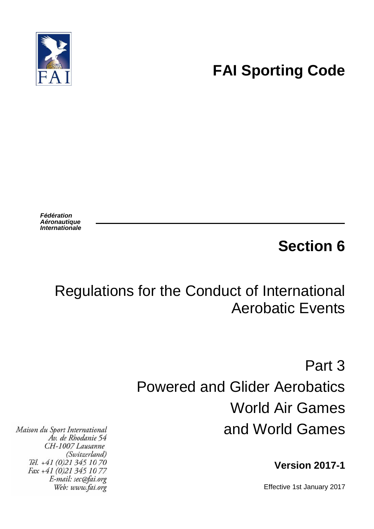

# **FAI Sporting Code**

*Fédération Aéronautique Internationale*

# **Section 6**

# Regulations for the Conduct of International Aerobatic Events

Part 3 Powered and Glider Aerobatics World Air Games and World Games

## **Version 2017-1**

Effective 1st January 2017

Maison du Sport International Áv. de Rhodanie 54 CH-1007 Lausanne (Switzerland) Tél. +41 (0)21 345 10 70 Fax +41 (0)21 345 10 77 E-mail: sec@fai.org Web: www.fai.org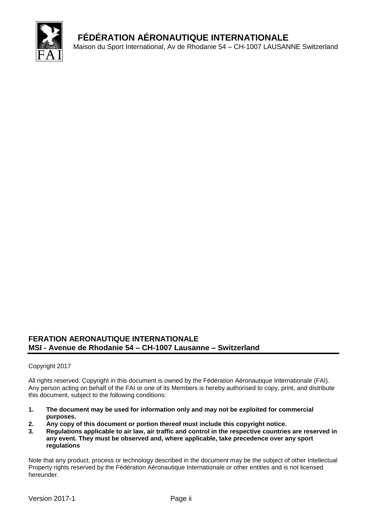

**FÉDÉRATION AÉRONAUTIQUE INTERNATIONALE**

Maison du Sport International, Av de Rhodanie 54 – CH-1007 LAUSANNE Switzerland

## **FERATION AERONAUTIQUE INTERNATIONALE MSI - Avenue de Rhodanie 54 – CH-1007 Lausanne – Switzerland**

#### Copyright 2017

All rights reserved. Copyright in this document is owned by the Fédération Aéronautique Internationale (FAI). Any person acting on behalf of the FAI or one of its Members is hereby authorised to copy, print, and distribute this document, subject to the following conditions:

- **1. The document may be used for information only and may not be exploited for commercial purposes.**
- **2. Any copy of this document or portion thereof must include this copyright notice.**
- **3. Regulations applicable to air law, air traffic and control in the respective countries are reserved in any event. They must be observed and, where applicable, take precedence over any sport regulations**

Note that any product, process or technology described in the document may be the subject of other Intellectual Property rights reserved by the Fédération Aéronautique Internationale or other entities and is not licensed hereunder.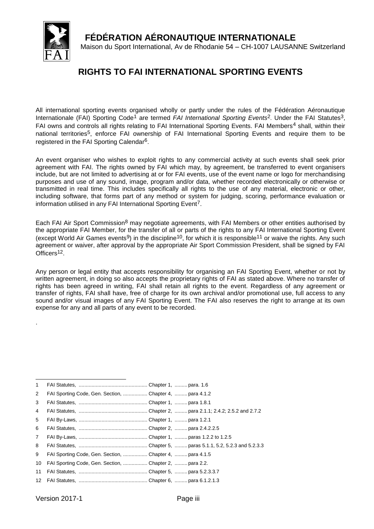

**FÉDÉRATION AÉRONAUTIQUE INTERNATIONALE**

Maison du Sport International, Av de Rhodanie 54 – CH-1007 LAUSANNE Switzerland

## **RIGHTS TO FAI INTERNATIONAL SPORTING EVENTS**

All international sporting events organised wholly or partly under the rules of the Fédération Aéronautique Internationale (FAI) Sporting Code<sup>1</sup> are termed *FAI International Sporting Events*<sup>2</sup>. Under the FAI Statutes<sup>3</sup>, FAI owns and controls all rights relating to FAI International Sporting Events. FAI Members<sup>4</sup> shall, within their national territories<sup>5</sup>, enforce FAI ownership of FAI International Sporting Events and require them to be registered in the FAI Sporting Calendar<sup>6</sup>.

An event organiser who wishes to exploit rights to any commercial activity at such events shall seek prior agreement with FAI. The rights owned by FAI which may, by agreement, be transferred to event organisers include, but are not limited to advertising at or for FAI events, use of the event name or logo for merchandising purposes and use of any sound, image, program and/or data, whether recorded electronically or otherwise or transmitted in real time. This includes specifically all rights to the use of any material, electronic or other, including software, that forms part of any method or system for judging, scoring, performance evaluation or information utilised in any FAI International Sporting Event<sup>7</sup>.

Each FAI Air Sport Commission<sup>8</sup> may negotiate agreements, with FAI Members or other entities authorised by the appropriate FAI Member, for the transfer of all or parts of the rights to any FAI International Sporting Event (except World Air Games events<sup>9</sup>) in the discipline<sup>10</sup>, for which it is responsible<sup>11</sup> or waive the rights. Any such agreement or waiver, after approval by the appropriate Air Sport Commission President, shall be signed by FAI Officers<sup>12</sup>

Any person or legal entity that accepts responsibility for organising an FAI Sporting Event, whether or not by written agreement, in doing so also accepts the proprietary rights of FAI as stated above. Where no transfer of rights has been agreed in writing, FAI shall retain all rights to the event. Regardless of any agreement or transfer of rights, FAI shall have, free of charge for its own archival and/or promotional use, full access to any sound and/or visual images of any FAI Sporting Event. The FAI also reserves the right to arrange at its own expense for any and all parts of any event to be recorded.

| 1  |                                                          |
|----|----------------------------------------------------------|
| 2  | FAI Sporting Code, Gen. Section,  Chapter 4,  para 4.1.2 |
| 3  |                                                          |
| 4  |                                                          |
| 5  |                                                          |
| 6  |                                                          |
| 7  |                                                          |
| 8  |                                                          |
| 9  | FAI Sporting Code, Gen. Section, Chapter 4,  para 4.1.5  |
| 10 | FAI Sporting Code, Gen. Section, Chapter 2,  para 2.2.   |
| 11 |                                                          |
| 12 |                                                          |
|    |                                                          |

.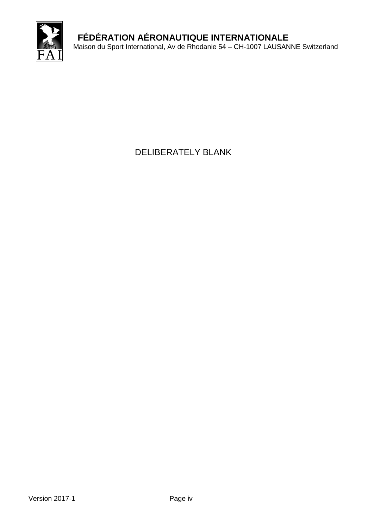

**FÉDÉRATION AÉRONAUTIQUE INTERNATIONALE**

Maison du Sport International, Av de Rhodanie 54 – CH-1007 LAUSANNE Switzerland

DELIBERATELY BLANK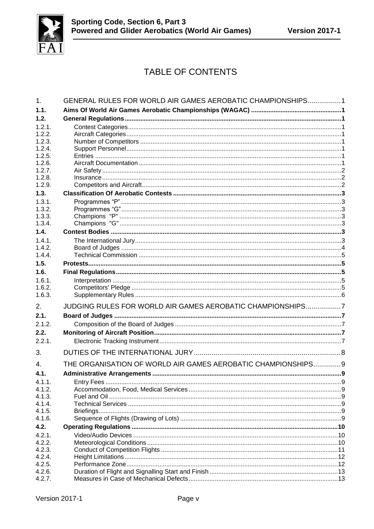

## **TABLE OF CONTENTS**

| GENERAL RULES FOR WORLD AIR GAMES AEROBATIC CHAMPIONSHIPS 1   |  |
|---------------------------------------------------------------|--|
|                                                               |  |
|                                                               |  |
|                                                               |  |
|                                                               |  |
|                                                               |  |
|                                                               |  |
|                                                               |  |
|                                                               |  |
|                                                               |  |
|                                                               |  |
|                                                               |  |
|                                                               |  |
|                                                               |  |
|                                                               |  |
|                                                               |  |
|                                                               |  |
|                                                               |  |
|                                                               |  |
|                                                               |  |
|                                                               |  |
|                                                               |  |
|                                                               |  |
|                                                               |  |
|                                                               |  |
|                                                               |  |
| JUDGING RULES FOR WORLD AIR GAMES AEROBATIC CHAMPIONSHIPS7    |  |
|                                                               |  |
|                                                               |  |
|                                                               |  |
|                                                               |  |
|                                                               |  |
|                                                               |  |
| THE ORGANISATION OF WORLD AIR GAMES AEROBATIC CHAMPIONSHIPS 9 |  |
|                                                               |  |
|                                                               |  |
|                                                               |  |
|                                                               |  |
|                                                               |  |
|                                                               |  |
|                                                               |  |
|                                                               |  |
|                                                               |  |
|                                                               |  |
|                                                               |  |
|                                                               |  |
|                                                               |  |
|                                                               |  |
|                                                               |  |
|                                                               |  |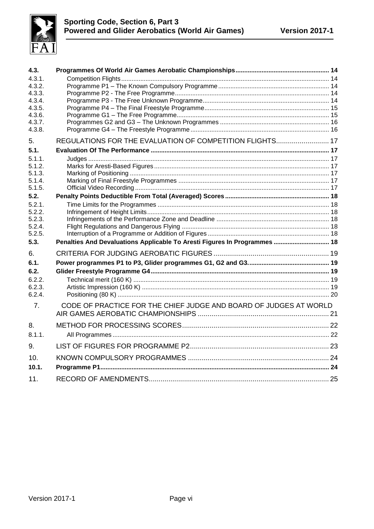

| 4.3.             |                                                                           |  |
|------------------|---------------------------------------------------------------------------|--|
| 4.3.1.           |                                                                           |  |
| 4.3.2.           |                                                                           |  |
| 4.3.3.<br>4.3.4. |                                                                           |  |
| 4.3.5.           |                                                                           |  |
| 4.3.6.           |                                                                           |  |
| 4.3.7.           |                                                                           |  |
| 4.3.8.           |                                                                           |  |
| 5.               | REGULATIONS FOR THE EVALUATION OF COMPETITION FLIGHTS 17                  |  |
| 5.1.             |                                                                           |  |
| 5.1.1.           |                                                                           |  |
| 5.1.2.           |                                                                           |  |
| 5.1.3.<br>5.1.4. |                                                                           |  |
| 5.1.5.           |                                                                           |  |
| 5.2.             |                                                                           |  |
| 5.2.1.           |                                                                           |  |
| 5.2.2.           |                                                                           |  |
| 5.2.3.<br>5.2.4. |                                                                           |  |
| 5.2.5.           |                                                                           |  |
| 5.3.             | Penalties And Devaluations Applicable To Aresti Figures In Programmes  18 |  |
| 6.               |                                                                           |  |
| 6.1.             |                                                                           |  |
| 6.2.             |                                                                           |  |
| 6.2.2.           |                                                                           |  |
| 6.2.3.           |                                                                           |  |
| 6.2.4.           |                                                                           |  |
| 7 <sub>1</sub>   | CODE OF PRACTICE FOR THE CHIEF JUDGE AND BOARD OF JUDGES AT WORLD         |  |
| 8.               |                                                                           |  |
| 8.1.1.           |                                                                           |  |
| 9.               |                                                                           |  |
| 10.              |                                                                           |  |
| 10.1.            |                                                                           |  |
| 11.              |                                                                           |  |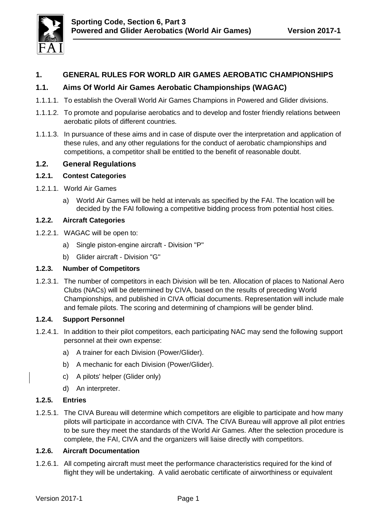

## <span id="page-6-0"></span>**1. GENERAL RULES FOR WORLD AIR GAMES AEROBATIC CHAMPIONSHIPS**

## <span id="page-6-1"></span>**1.1. Aims Of World Air Games Aerobatic Championships (WAGAC)**

- 1.1.1.1. To establish the Overall World Air Games Champions in Powered and Glider divisions.
- 1.1.1.2. To promote and popularise aerobatics and to develop and foster friendly relations between aerobatic pilots of different countries.
- 1.1.1.3. In pursuance of these aims and in case of dispute over the interpretation and application of these rules, and any other regulations for the conduct of aerobatic championships and competitions, a competitor shall be entitled to the benefit of reasonable doubt.

## <span id="page-6-2"></span>**1.2. General Regulations**

#### <span id="page-6-3"></span>**1.2.1. Contest Categories**

- 1.2.1.1. World Air Games
	- a) World Air Games will be held at intervals as specified by the FAI. The location will be decided by the FAI following a competitive bidding process from potential host cities.

#### <span id="page-6-4"></span>**1.2.2. Aircraft Categories**

- 1.2.2.1. WAGAC will be open to:
	- a) Single piston-engine aircraft Division "P"
	- b) Glider aircraft Division "G"

#### <span id="page-6-5"></span>**1.2.3. Number of Competitors**

1.2.3.1. The number of competitors in each Division will be ten. Allocation of places to National Aero Clubs (NACs) will be determined by CIVA, based on the results of preceding World Championships, and published in CIVA official documents. Representation will include male and female pilots. The scoring and determining of champions will be gender blind.

#### <span id="page-6-6"></span>**1.2.4. Support Personnel**

- 1.2.4.1. In addition to their pilot competitors, each participating NAC may send the following support personnel at their own expense:
	- a) A trainer for each Division (Power/Glider).
	- b) A mechanic for each Division (Power/Glider).
	- c) A pilots' helper (Glider only)
	- d) An interpreter.

## <span id="page-6-7"></span>**1.2.5. Entries**

1.2.5.1. The CIVA Bureau will determine which competitors are eligible to participate and how many pilots will participate in accordance with CIVA. The CIVA Bureau will approve all pilot entries to be sure they meet the standards of the World Air Games. After the selection procedure is complete, the FAI, CIVA and the organizers will liaise directly with competitors.

#### <span id="page-6-8"></span>**1.2.6. Aircraft Documentation**

1.2.6.1. All competing aircraft must meet the performance characteristics required for the kind of flight they will be undertaking. A valid aerobatic certificate of airworthiness or equivalent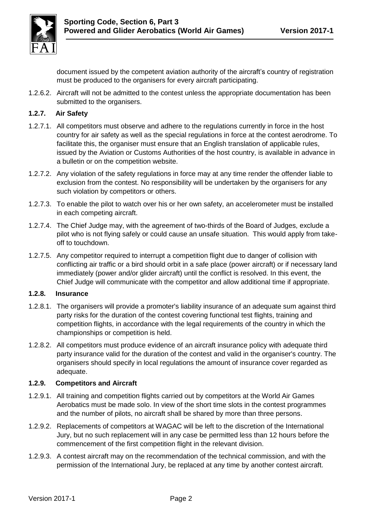

document issued by the competent aviation authority of the aircraft's country of registration must be produced to the organisers for every aircraft participating.

1.2.6.2. Aircraft will not be admitted to the contest unless the appropriate documentation has been submitted to the organisers.

#### <span id="page-7-0"></span>**1.2.7. Air Safety**

- 1.2.7.1. All competitors must observe and adhere to the regulations currently in force in the host country for air safety as well as the special regulations in force at the contest aerodrome. To facilitate this, the organiser must ensure that an English translation of applicable rules, issued by the Aviation or Customs Authorities of the host country, is available in advance in a bulletin or on the competition website.
- 1.2.7.2. Any violation of the safety regulations in force may at any time render the offender liable to exclusion from the contest. No responsibility will be undertaken by the organisers for any such violation by competitors or others.
- 1.2.7.3. To enable the pilot to watch over his or her own safety, an accelerometer must be installed in each competing aircraft.
- 1.2.7.4. The Chief Judge may, with the agreement of two-thirds of the Board of Judges, exclude a pilot who is not flying safely or could cause an unsafe situation. This would apply from takeoff to touchdown.
- <span id="page-7-3"></span>1.2.7.5. Any competitor required to interrupt a competition flight due to danger of collision with conflicting air traffic or a bird should orbit in a safe place (power aircraft) or if necessary land immediately (power and/or glider aircraft) until the conflict is resolved. In this event, the Chief Judge will communicate with the competitor and allow additional time if appropriate.

#### <span id="page-7-1"></span>**1.2.8. Insurance**

- 1.2.8.1. The organisers will provide a promoter's liability insurance of an adequate sum against third party risks for the duration of the contest covering functional test flights, training and competition flights, in accordance with the legal requirements of the country in which the championships or competition is held.
- 1.2.8.2. All competitors must produce evidence of an aircraft insurance policy with adequate third party insurance valid for the duration of the contest and valid in the organiser's country. The organisers should specify in local regulations the amount of insurance cover regarded as adequate.

#### <span id="page-7-2"></span>**1.2.9. Competitors and Aircraft**

- 1.2.9.1. All training and competition flights carried out by competitors at the World Air Games Aerobatics must be made solo. In view of the short time slots in the contest programmes and the number of pilots, no aircraft shall be shared by more than three persons.
- 1.2.9.2. Replacements of competitors at WAGAC will be left to the discretion of the International Jury, but no such replacement will in any case be permitted less than 12 hours before the commencement of the first competition flight in the relevant division.
- 1.2.9.3. A contest aircraft may on the recommendation of the technical commission, and with the permission of the International Jury, be replaced at any time by another contest aircraft.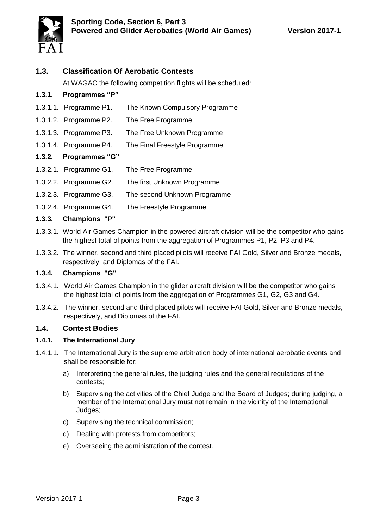

## <span id="page-8-0"></span>**1.3. Classification Of Aerobatic Contests**

At WAGAC the following competition flights will be scheduled:

#### <span id="page-8-1"></span>**1.3.1. Programmes "P"**

- 1.3.1.1. Programme P1. The Known Compulsory Programme
- 1.3.1.2. Programme P2. The Free Programme
- 1.3.1.3. Programme P3. The Free Unknown Programme
- 1.3.1.4. Programme P4. The Final Freestyle Programme

#### <span id="page-8-2"></span>**1.3.2. Programmes "G"**

- 1.3.2.1. Programme G1. The Free Programme
- 1.3.2.2. Programme G2. The first Unknown Programme
- 1.3.2.3. Programme G3. The second Unknown Programme
- 1.3.2.4. Programme G4. The Freestyle Programme

#### <span id="page-8-3"></span>**1.3.3. Champions "P"**

- 1.3.3.1. World Air Games Champion in the powered aircraft division will be the competitor who gains the highest total of points from the aggregation of Programmes P1, P2, P3 and P4.
- 1.3.3.2. The winner, second and third placed pilots will receive FAI Gold, Silver and Bronze medals, respectively, and Diplomas of the FAI.

#### <span id="page-8-4"></span>**1.3.4. Champions "G"**

- 1.3.4.1. World Air Games Champion in the glider aircraft division will be the competitor who gains the highest total of points from the aggregation of Programmes G1, G2, G3 and G4.
- 1.3.4.2. The winner, second and third placed pilots will receive FAI Gold, Silver and Bronze medals, respectively, and Diplomas of the FAI.

#### <span id="page-8-5"></span>**1.4. Contest Bodies**

#### <span id="page-8-6"></span>**1.4.1. The International Jury**

- 1.4.1.1. The International Jury is the supreme arbitration body of international aerobatic events and shall be responsible for:
	- a) Interpreting the general rules, the judging rules and the general regulations of the contests;
	- b) Supervising the activities of the Chief Judge and the Board of Judges; during judging, a member of the International Jury must not remain in the vicinity of the International Judges;
	- c) Supervising the technical commission;
	- d) Dealing with protests from competitors;
	- e) Overseeing the administration of the contest.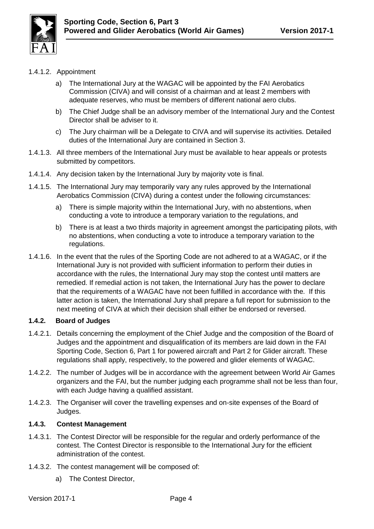

## 1.4.1.2. Appointment

- a) The International Jury at the WAGAC will be appointed by the FAI Aerobatics Commission (CIVA) and will consist of a chairman and at least 2 members with adequate reserves, who must be members of different national aero clubs.
- b) The Chief Judge shall be an advisory member of the International Jury and the Contest Director shall be adviser to it.
- c) The Jury chairman will be a Delegate to CIVA and will supervise its activities. Detailed duties of the International Jury are contained in Section 3.
- 1.4.1.3. All three members of the International Jury must be available to hear appeals or protests submitted by competitors.
- 1.4.1.4. Any decision taken by the International Jury by majority vote is final.
- 1.4.1.5. The International Jury may temporarily vary any rules approved by the International Aerobatics Commission (CIVA) during a contest under the following circumstances:
	- a) There is simple majority within the International Jury, with no abstentions, when conducting a vote to introduce a temporary variation to the regulations, and
	- b) There is at least a two thirds majority in agreement amongst the participating pilots, with no abstentions, when conducting a vote to introduce a temporary variation to the regulations.
- 1.4.1.6. In the event that the rules of the Sporting Code are not adhered to at a WAGAC, or if the International Jury is not provided with sufficient information to perform their duties in accordance with the rules, the International Jury may stop the contest until matters are remedied. If remedial action is not taken, the International Jury has the power to declare that the requirements of a WAGAC have not been fulfilled in accordance with the. If this latter action is taken, the International Jury shall prepare a full report for submission to the next meeting of CIVA at which their decision shall either be endorsed or reversed.

#### <span id="page-9-0"></span>**1.4.2. Board of Judges**

- 1.4.2.1. Details concerning the employment of the Chief Judge and the composition of the Board of Judges and the appointment and disqualification of its members are laid down in the FAI Sporting Code, Section 6, Part 1 for powered aircraft and Part 2 for Glider aircraft. These regulations shall apply, respectively, to the powered and glider elements of WAGAC.
- 1.4.2.2. The number of Judges will be in accordance with the agreement between World Air Games organizers and the FAI, but the number judging each programme shall not be less than four, with each Judge having a qualified assistant.
- 1.4.2.3. The Organiser will cover the travelling expenses and on-site expenses of the Board of Judges.

#### **1.4.3. Contest Management**

- 1.4.3.1. The Contest Director will be responsible for the regular and orderly performance of the contest. The Contest Director is responsible to the International Jury for the efficient administration of the contest.
- 1.4.3.2. The contest management will be composed of:
	- a) The Contest Director,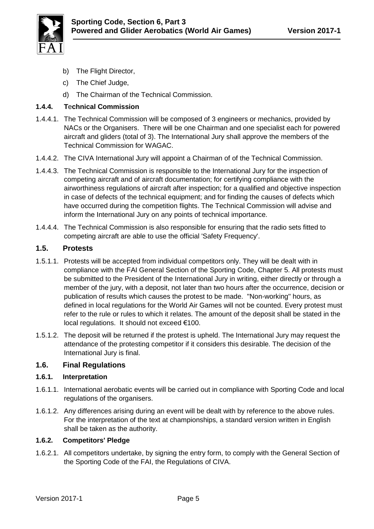

- b) The Flight Director,
- c) The Chief Judge,
- d) The Chairman of the Technical Commission.

#### <span id="page-10-0"></span>**1.4.4. T**e**chnical Commission**

- 1.4.4.1. The Technical Commission will be composed of 3 engineers or mechanics, provided by NACs or the Organisers. There will be one Chairman and one specialist each for powered aircraft and gliders (total of 3). The International Jury shall approve the members of the Technical Commission for WAGAC.
- 1.4.4.2. The CIVA International Jury will appoint a Chairman of of the Technical Commission.
- 1.4.4.3. The Technical Commission is responsible to the International Jury for the inspection of competing aircraft and of aircraft documentation; for certifying compliance with the airworthiness regulations of aircraft after inspection; for a qualified and objective inspection in case of defects of the technical equipment; and for finding the causes of defects which have occurred during the competition flights. The Technical Commission will advise and inform the International Jury on any points of technical importance.
- 1.4.4.4. The Technical Commission is also responsible for ensuring that the radio sets fitted to competing aircraft are able to use the official 'Safety Frequency'.

#### <span id="page-10-1"></span>**1.5. Protests**

- 1.5.1.1. Protests will be accepted from individual competitors only. They will be dealt with in compliance with the FAI General Section of the Sporting Code, Chapter 5. All protests must be submitted to the President of the International Jury in writing, either directly or through a member of the jury, with a deposit, not later than two hours after the occurrence, decision or publication of results which causes the protest to be made. "Non-working" hours, as defined in local regulations for the World Air Games will not be counted. Every protest must refer to the rule or rules to which it relates. The amount of the deposit shall be stated in the local regulations. It should not exceed €100.
- 1.5.1.2. The deposit will be returned if the protest is upheld. The International Jury may request the attendance of the protesting competitor if it considers this desirable. The decision of the International Jury is final.

#### <span id="page-10-2"></span>**1.6. Final Regulations**

#### <span id="page-10-3"></span>**1.6.1. Interpretation**

- 1.6.1.1. International aerobatic events will be carried out in compliance with Sporting Code and local regulations of the organisers.
- 1.6.1.2. Any differences arising during an event will be dealt with by reference to the above rules. For the interpretation of the text at championships, a standard version written in English shall be taken as the authority.

#### <span id="page-10-4"></span>**1.6.2. Competitors' Pledge**

1.6.2.1. All competitors undertake, by signing the entry form, to comply with the General Section of the Sporting Code of the FAI, the Regulations of CIVA.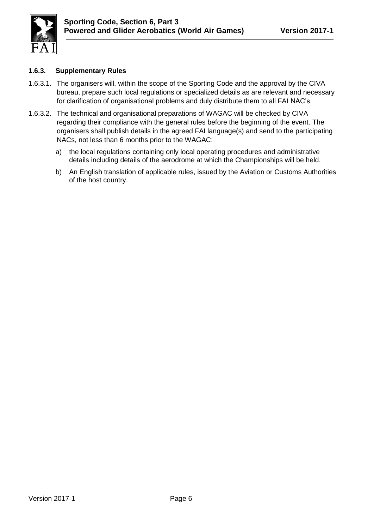

## <span id="page-11-0"></span>**1.6.3. Supplementary Rules**

- 1.6.3.1. The organisers will, within the scope of the Sporting Code and the approval by the CIVA bureau, prepare such local regulations or specialized details as are relevant and necessary for clarification of organisational problems and duly distribute them to all FAI NAC's.
- 1.6.3.2. The technical and organisational preparations of WAGAC will be checked by CIVA regarding their compliance with the general rules before the beginning of the event. The organisers shall publish details in the agreed FAI language(s) and send to the participating NACs, not less than 6 months prior to the WAGAC:
	- a) the local regulations containing only local operating procedures and administrative details including details of the aerodrome at which the Championships will be held.
	- b) An English translation of applicable rules, issued by the Aviation or Customs Authorities of the host country.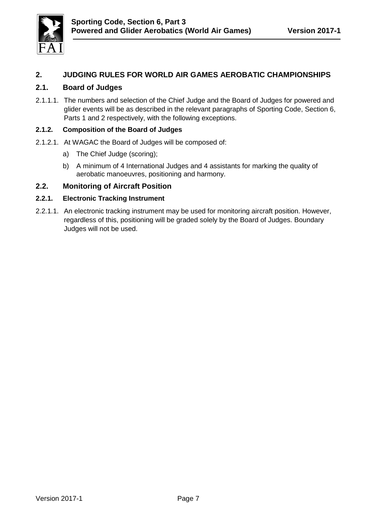

## <span id="page-12-0"></span>**2. JUDGING RULES FOR WORLD AIR GAMES AEROBATIC CHAMPIONSHIPS**

## <span id="page-12-1"></span>**2.1. Board of Judges**

2.1.1.1. The numbers and selection of the Chief Judge and the Board of Judges for powered and glider events will be as described in the relevant paragraphs of Sporting Code, Section 6, Parts 1 and 2 respectively, with the following exceptions.

#### <span id="page-12-2"></span>**2.1.2. Composition of the Board of Judges**

- 2.1.2.1. At WAGAC the Board of Judges will be composed of:
	- a) The Chief Judge (scoring);
	- b) A minimum of 4 International Judges and 4 assistants for marking the quality of aerobatic manoeuvres, positioning and harmony.

#### <span id="page-12-3"></span>**2.2. Monitoring of Aircraft Position**

#### <span id="page-12-4"></span>**2.2.1. Electronic Tracking Instrument**

2.2.1.1. An electronic tracking instrument may be used for monitoring aircraft position. However, regardless of this, positioning will be graded solely by the Board of Judges. Boundary Judges will not be used.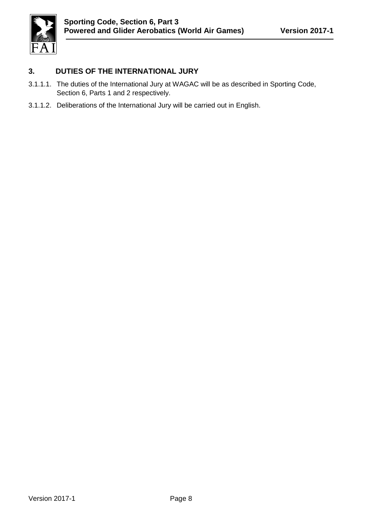

## <span id="page-13-0"></span>**3. DUTIES OF THE INTERNATIONAL JURY**

- 3.1.1.1. The duties of the International Jury at WAGAC will be as described in Sporting Code, Section 6, Parts 1 and 2 respectively.
- 3.1.1.2. Deliberations of the International Jury will be carried out in English.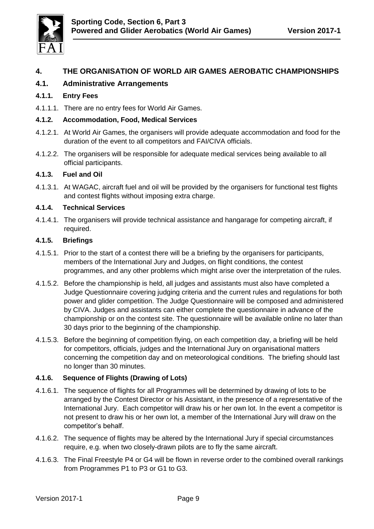

## <span id="page-14-0"></span>**4. THE ORGANISATION OF WORLD AIR GAMES AEROBATIC CHAMPIONSHIPS**

## <span id="page-14-1"></span>**4.1. Administrative Arrangements**

#### <span id="page-14-2"></span>**4.1.1. Entry Fees**

4.1.1.1. There are no entry fees for World Air Games.

#### <span id="page-14-3"></span>**4.1.2. Accommodation, Food, Medical Services**

- 4.1.2.1. At World Air Games, the organisers will provide adequate accommodation and food for the duration of the event to all competitors and FAI/CIVA officials.
- 4.1.2.2. The organisers will be responsible for adequate medical services being available to all official participants.

#### <span id="page-14-4"></span>**4.1.3. Fuel and Oil**

4.1.3.1. At WAGAC, aircraft fuel and oil will be provided by the organisers for functional test flights and contest flights without imposing extra charge.

#### <span id="page-14-5"></span>**4.1.4. Technical Services**

4.1.4.1. The organisers will provide technical assistance and hangarage for competing aircraft, if required.

#### <span id="page-14-6"></span>**4.1.5. Briefings**

- 4.1.5.1. Prior to the start of a contest there will be a briefing by the organisers for participants, members of the International Jury and Judges, on flight conditions, the contest programmes, and any other problems which might arise over the interpretation of the rules.
- 4.1.5.2. Before the championship is held, all judges and assistants must also have completed a Judge Questionnaire covering judging criteria and the current rules and regulations for both power and glider competition. The Judge Questionnaire will be composed and administered by CIVA. Judges and assistants can either complete the questionnaire in advance of the championship or on the contest site. The questionnaire will be available online no later than 30 days prior to the beginning of the championship.
- 4.1.5.3. Before the beginning of competition flying, on each competition day, a briefing will be held for competitors, officials, judges and the International Jury on organisational matters concerning the competition day and on meteorological conditions. The briefing should last no longer than 30 minutes.

#### <span id="page-14-7"></span>**4.1.6. Sequence of Flights (Drawing of Lots)**

- 4.1.6.1. The sequence of flights for all Programmes will be determined by drawing of lots to be arranged by the Contest Director or his Assistant, in the presence of a representative of the International Jury. Each competitor will draw his or her own lot. In the event a competitor is not present to draw his or her own lot, a member of the International Jury will draw on the competitor's behalf.
- 4.1.6.2. The sequence of flights may be altered by the International Jury if special circumstances require, e.g. when two closely-drawn pilots are to fly the same aircraft.
- 4.1.6.3. The Final Freestyle P4 or G4 will be flown in reverse order to the combined overall rankings from Programmes P1 to P3 or G1 to G3.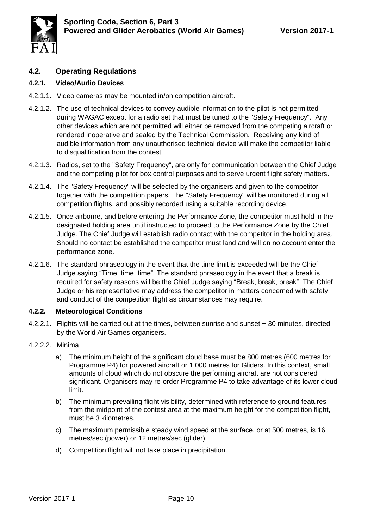

## <span id="page-15-0"></span>**4.2. Operating Regulations**

#### <span id="page-15-1"></span>**4.2.1. Video/Audio Devices**

- 4.2.1.1. Video cameras may be mounted in/on competition aircraft.
- 4.2.1.2. The use of technical devices to convey audible information to the pilot is not permitted during WAGAC except for a radio set that must be tuned to the "Safety Frequency". Any other devices which are not permitted will either be removed from the competing aircraft or rendered inoperative and sealed by the Technical Commission. Receiving any kind of audible information from any unauthorised technical device will make the competitor liable to disqualification from the contest.
- 4.2.1.3. Radios, set to the "Safety Frequency", are only for communication between the Chief Judge and the competing pilot for box control purposes and to serve urgent flight safety matters.
- 4.2.1.4. The "Safety Frequency" will be selected by the organisers and given to the competitor together with the competition papers. The "Safety Frequency" will be monitored during all competition flights, and possibly recorded using a suitable recording device.
- 4.2.1.5. Once airborne, and before entering the Performance Zone, the competitor must hold in the designated holding area until instructed to proceed to the Performance Zone by the Chief Judge. The Chief Judge will establish radio contact with the competitor in the holding area. Should no contact be established the competitor must land and will on no account enter the performance zone.
- 4.2.1.6. The standard phraseology in the event that the time limit is exceeded will be the Chief Judge saying "Time, time, time". The standard phraseology in the event that a break is required for safety reasons will be the Chief Judge saying "Break, break, break". The Chief Judge or his representative may address the competitor in matters concerned with safety and conduct of the competition flight as circumstances may require.

#### <span id="page-15-2"></span>**4.2.2. Meteorological Conditions**

- 4.2.2.1. Flights will be carried out at the times, between sunrise and sunset + 30 minutes, directed by the World Air Games organisers.
- <span id="page-15-3"></span>4.2.2.2. Minima
	- a) The minimum height of the significant cloud base must be 800 metres (600 metres for Programme P4) for powered aircraft or 1,000 metres for Gliders. In this context, small amounts of cloud which do not obscure the performing aircraft are not considered significant. Organisers may re-order Programme P4 to take advantage of its lower cloud limit.
	- b) The minimum prevailing flight visibility, determined with reference to ground features from the midpoint of the contest area at the maximum height for the competition flight, must be 3 kilometres.
	- c) The maximum permissible steady wind speed at the surface, or at 500 metres, is 16 metres/sec (power) or 12 metres/sec (glider).
	- d) Competition flight will not take place in precipitation.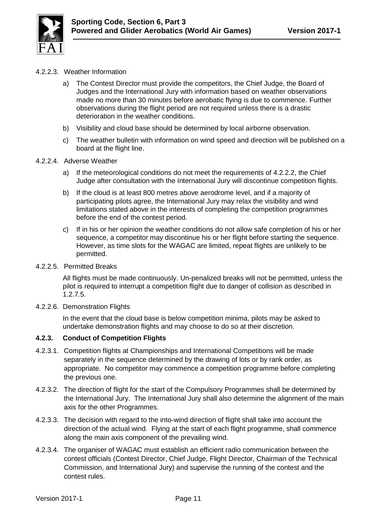

#### 4.2.2.3. Weather Information

- a) The Contest Director must provide the competitors, the Chief Judge, the Board of Judges and the International Jury with information based on weather observations made no more than 30 minutes before aerobatic flying is due to commence. Further observations during the flight period are not required unless there is a drastic deterioration in the weather conditions.
- b) Visibility and cloud base should be determined by local airborne observation.
- c) The weather bulletin with information on wind speed and direction will be published on a board at the flight line.

#### 4.2.2.4. Adverse Weather

- a) If the meteorological conditions do not meet the requirements of [4.2.2.2,](#page-15-3) the Chief Judge after consultation with the International Jury will discontinue competition flights.
- b) If the cloud is at least 800 metres above aerodrome level, and if a majority of participating pilots agree, the International Jury may relax the visibility and wind limitations stated above in the interests of completing the competition programmes before the end of the contest period.
- c) If in his or her opinion the weather conditions do not allow safe completion of his or her sequence, a competitor may discontinue his or her flight before starting the sequence. However, as time slots for the WAGAC are limited, repeat flights are unlikely to be permitted.
- 4.2.2.5. Permitted Breaks

All flights must be made continuously. Un-penalized breaks will not be permitted, unless the pilot is required to interrupt a competition flight due to danger of collision as described in [1.2.7.5.](#page-7-3)

4.2.2.6. Demonstration Flights

In the event that the cloud base is below competition minima, pilots may be asked to undertake demonstration flights and may choose to do so at their discretion.

#### <span id="page-16-0"></span>**4.2.3. Conduct of Competition Flights**

- 4.2.3.1. Competition flights at Championships and International Competitions will be made separately in the sequence determined by the drawing of lots or by rank order, as appropriate. No competitor may commence a competition programme before completing the previous one.
- 4.2.3.2. The direction of flight for the start of the Compulsory Programmes shall be determined by the International Jury. The International Jury shall also determine the alignment of the main axis for the other Programmes.
- 4.2.3.3. The decision with regard to the into-wind direction of flight shall take into account the direction of the actual wind. Flying at the start of each flight programme, shall commence along the main axis component of the prevailing wind.
- 4.2.3.4. The organiser of WAGAC must establish an efficient radio communication between the contest officials (Contest Director, Chief Judge, Flight Director, Chairman of the Technical Commission, and International Jury) and supervise the running of the contest and the contest rules.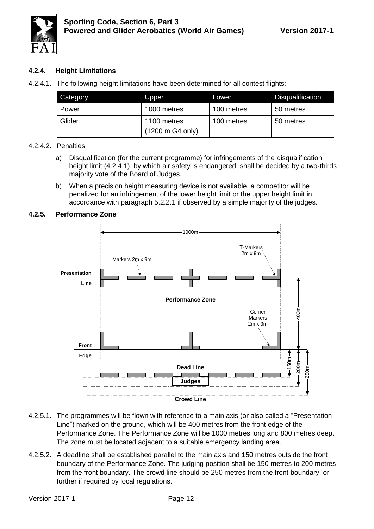

## <span id="page-17-0"></span>**4.2.4. Height Limitations**

<span id="page-17-2"></span>4.2.4.1. The following height limitations have been determined for all contest flights:

| Category | Upper                                              | Lower      | <b>Disqualification</b> |
|----------|----------------------------------------------------|------------|-------------------------|
| Power    | 1000 metres                                        | 100 metres | 50 metres               |
| Glider   | 1100 metres<br>$(1200 \text{ m } G4 \text{ only})$ | 100 metres | 50 metres               |

#### 4.2.4.2. Penalties

- a) Disqualification (for the current programme) for infringements of the disqualification height limit [\(4.2.4.1\)](#page-17-2), by which air safety is endangered, shall be decided by a two-thirds majority vote of the Board of Judges.
- b) When a precision height measuring device is not available, a competitor will be penalized for an infringement of the lower height limit or the upper height limit in accordance with paragraph [5.2.2.1](#page-23-7) if observed by a simple majority of the judges.

#### <span id="page-17-1"></span>**4.2.5. Performance Zone**



- 4.2.5.1. The programmes will be flown with reference to a main axis (or also called a "Presentation Line") marked on the ground, which will be 400 metres from the front edge of the Performance Zone. The Performance Zone will be 1000 metres long and 800 metres deep. The zone must be located adjacent to a suitable emergency landing area.
- 4.2.5.2. A deadline shall be established parallel to the main axis and 150 metres outside the front boundary of the Performance Zone. The judging position shall be 150 metres to 200 metres from the front boundary. The crowd line should be 250 metres from the front boundary, or further if required by local regulations.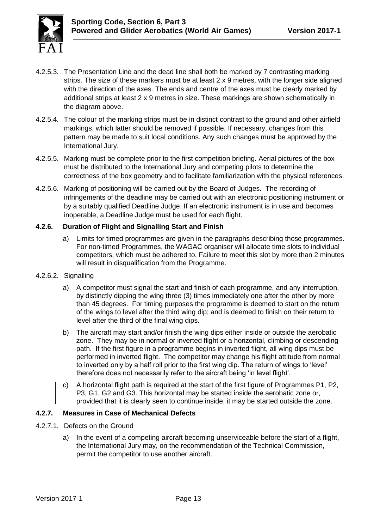

- 4.2.5.3. The Presentation Line and the dead line shall both be marked by 7 contrasting marking strips. The size of these markers must be at least 2 x 9 metres, with the longer side aligned with the direction of the axes. The ends and centre of the axes must be clearly marked by additional strips at least 2 x 9 metres in size. These markings are shown schematically in the diagram above.
- 4.2.5.4. The colour of the marking strips must be in distinct contrast to the ground and other airfield markings, which latter should be removed if possible. If necessary, changes from this pattern may be made to suit local conditions. Any such changes must be approved by the International Jury.
- 4.2.5.5. Marking must be complete prior to the first competition briefing. Aerial pictures of the box must be distributed to the International Jury and competing pilots to determine the correctness of the box geometry and to facilitate familiarization with the physical references.
- 4.2.5.6. Marking of positioning will be carried out by the Board of Judges. The recording of infringements of the deadline may be carried out with an electronic positioning instrument or by a suitably qualified Deadline Judge. If an electronic instrument is in use and becomes inoperable, a Deadline Judge must be used for each flight.

#### <span id="page-18-0"></span>**4.2.6. Duration of Flight and Signalling Start and Finish**

- a) Limits for timed programmes are given in the paragraphs describing those programmes. For non-timed Programmes, the WAGAC organiser will allocate time slots to individual competitors, which must be adhered to. Failure to meet this slot by more than 2 minutes will result in disqualification from the Programme.
- 4.2.6.2. Signalling
	- a) A competitor must signal the start and finish of each programme, and any interruption, by distinctly dipping the wing three (3) times immediately one after the other by more than 45 degrees. For timing purposes the programme is deemed to start on the return of the wings to level after the third wing dip; and is deemed to finish on their return to level after the third of the final wing dips.
	- b) The aircraft may start and/or finish the wing dips either inside or outside the aerobatic zone. They may be in normal or inverted flight or a horizontal, climbing or descending path. If the first figure in a programme begins in inverted flight, all wing dips must be performed in inverted flight. The competitor may change his flight attitude from normal to inverted only by a half roll prior to the first wing dip. The return of wings to 'level' therefore does not necessarily refer to the aircraft being 'in level flight'.
	- c) A horizontal flight path is required at the start of the first figure of Programmes P1, P2, P3, G1, G2 and G3. This horizontal may be started inside the aerobatic zone or, provided that it is clearly seen to continue inside, it may be started outside the zone.

#### <span id="page-18-1"></span>**4.2.7. Measures in Case of Mechanical Defects**

- 4.2.7.1. Defects on the Ground
	- a) In the event of a competing aircraft becoming unserviceable before the start of a flight, the International Jury may, on the recommendation of the Technical Commission, permit the competitor to use another aircraft.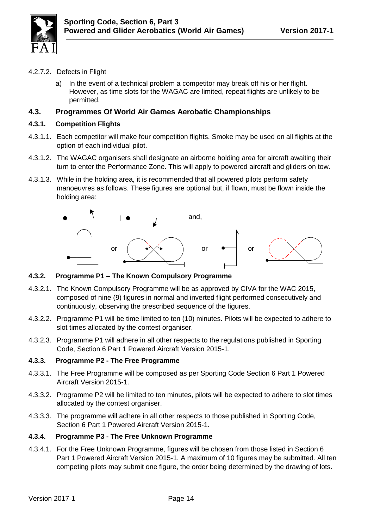

- 4.2.7.2. Defects in Flight
	- a) In the event of a technical problem a competitor may break off his or her flight. However, as time slots for the WAGAC are limited, repeat flights are unlikely to be permitted.

## <span id="page-19-0"></span>**4.3. Programmes Of World Air Games Aerobatic Championships**

#### <span id="page-19-1"></span>**4.3.1. Competition Flights**

- 4.3.1.1. Each competitor will make four competition flights. Smoke may be used on all flights at the option of each individual pilot.
- 4.3.1.2. The WAGAC organisers shall designate an airborne holding area for aircraft awaiting their turn to enter the Performance Zone. This will apply to powered aircraft and gliders on tow.
- 4.3.1.3. While in the holding area, it is recommended that all powered pilots perform safety manoeuvres as follows. These figures are optional but, if flown, must be flown inside the holding area:



<span id="page-19-2"></span>**4.3.2. Programme P1 – The Known Compulsory Programme**

- 4.3.2.1. The Known Compulsory Programme will be as approved by CIVA for the WAC 2015, composed of nine (9) figures in normal and inverted flight performed consecutively and continuously, observing the prescribed sequence of the figures.
- 4.3.2.2. Programme P1 will be time limited to ten (10) minutes. Pilots will be expected to adhere to slot times allocated by the contest organiser.
- 4.3.2.3. Programme P1 will adhere in all other respects to the regulations published in Sporting Code, Section 6 Part 1 Powered Aircraft Version 2015-1.

#### <span id="page-19-3"></span>**4.3.3. Programme P2 - The Free Programme**

- 4.3.3.1. The Free Programme will be composed as per Sporting Code Section 6 Part 1 Powered Aircraft Version 2015-1.
- 4.3.3.2. Programme P2 will be limited to ten minutes, pilots will be expected to adhere to slot times allocated by the contest organiser.
- 4.3.3.3. The programme will adhere in all other respects to those published in Sporting Code, Section 6 Part 1 Powered Aircraft Version 2015-1.

#### <span id="page-19-4"></span>**4.3.4. Programme P3 - The Free Unknown Programme**

4.3.4.1. For the Free Unknown Programme, figures will be chosen from those listed in Section 6 Part 1 Powered Aircraft Version 2015-1. A maximum of 10 figures may be submitted. All ten competing pilots may submit one figure, the order being determined by the drawing of lots.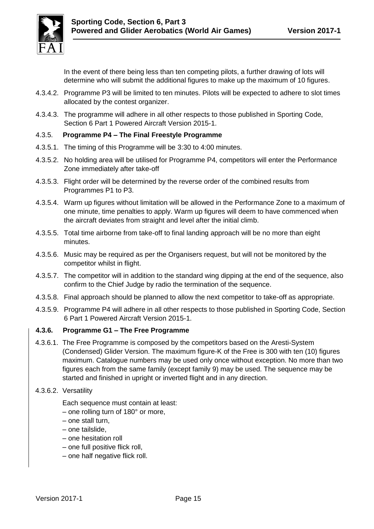

In the event of there being less than ten competing pilots, a further drawing of lots will determine who will submit the additional figures to make up the maximum of 10 figures.

- 4.3.4.2. Programme P3 will be limited to ten minutes. Pilots will be expected to adhere to slot times allocated by the contest organizer.
- 4.3.4.3. The programme will adhere in all other respects to those published in Sporting Code, Section 6 Part 1 Powered Aircraft Version 2015-1.

## <span id="page-20-0"></span>4.3.5. **Programme P4 – The Final Freestyle Programme**

- 4.3.5.1. The timing of this Programme will be 3:30 to 4:00 minutes.
- 4.3.5.2. No holding area will be utilised for Programme P4, competitors will enter the Performance Zone immediately after take-off
- 4.3.5.3. Flight order will be determined by the reverse order of the combined results from Programmes P1 to P3.
- 4.3.5.4. Warm up figures without limitation will be allowed in the Performance Zone to a maximum of one minute, time penalties to apply. Warm up figures will deem to have commenced when the aircraft deviates from straight and level after the initial climb.
- 4.3.5.5. Total time airborne from take-off to final landing approach will be no more than eight minutes.
- 4.3.5.6. Music may be required as per the Organisers request, but will not be monitored by the competitor whilst in flight.
- 4.3.5.7. The competitor will in addition to the standard wing dipping at the end of the sequence, also confirm to the Chief Judge by radio the termination of the sequence.
- 4.3.5.8. Final approach should be planned to allow the next competitor to take-off as appropriate.
- 4.3.5.9. Programme P4 will adhere in all other respects to those published in Sporting Code, Section 6 Part 1 Powered Aircraft Version 2015-1.

## <span id="page-20-1"></span>**4.3.6. Programme G1 – The Free Programme**

4.3.6.1. The Free Programme is composed by the competitors based on the Aresti-System (Condensed) Glider Version. The maximum figure-K of the Free is 300 with ten (10) figures maximum. Catalogue numbers may be used only once without exception. No more than two figures each from the same family (except family 9) may be used. The sequence may be started and finished in upright or inverted flight and in any direction.

#### 4.3.6.2. Versatility

Each sequence must contain at least:

- one rolling turn of 180° or more,
- one stall turn,
- one tailslide,
- one hesitation roll
- one full positive flick roll,
- one half negative flick roll.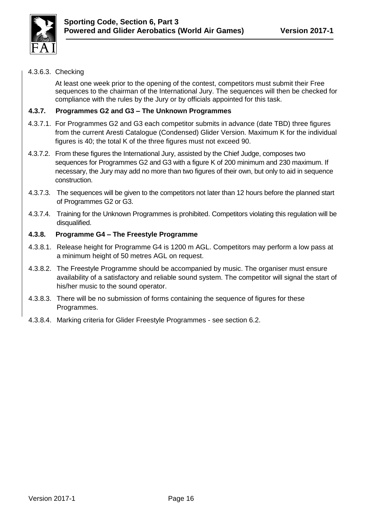

## 4.3.6.3. Checking

At least one week prior to the opening of the contest, competitors must submit their Free sequences to the chairman of the International Jury. The sequences will then be checked for compliance with the rules by the Jury or by officials appointed for this task.

#### <span id="page-21-0"></span>**4.3.7. Programmes G2 and G3 – The Unknown Programmes**

- 4.3.7.1. For Programmes G2 and G3 each competitor submits in advance (date TBD) three figures from the current Aresti Catalogue (Condensed) Glider Version. Maximum K for the individual figures is 40; the total K of the three figures must not exceed 90.
- 4.3.7.2. From these figures the International Jury, assisted by the Chief Judge, composes two sequences for Programmes G2 and G3 with a figure K of 200 minimum and 230 maximum. If necessary, the Jury may add no more than two figures of their own, but only to aid in sequence construction.
- 4.3.7.3. The sequences will be given to the competitors not later than 12 hours before the planned start of Programmes G2 or G3.
- 4.3.7.4. Training for the Unknown Programmes is prohibited. Competitors violating this regulation will be disqualified.

#### <span id="page-21-1"></span>**4.3.8. Programme G4 – The Freestyle Programme**

- 4.3.8.1. Release height for Programme G4 is 1200 m AGL. Competitors may perform a low pass at a minimum height of 50 metres AGL on request.
- 4.3.8.2. The Freestyle Programme should be accompanied by music. The organiser must ensure availability of a satisfactory and reliable sound system. The competitor will signal the start of his/her music to the sound operator.
- 4.3.8.3. There will be no submission of forms containing the sequence of figures for these Programmes.
- 4.3.8.4. Marking criteria for Glider Freestyle Programmes see section 6.2.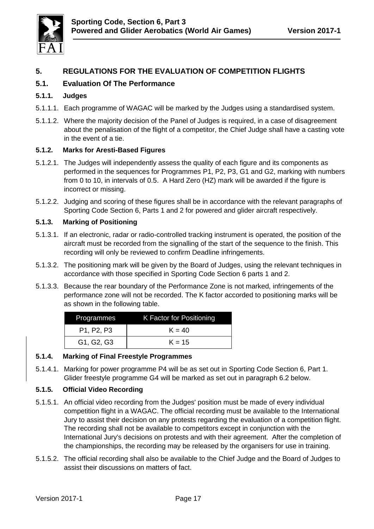

## <span id="page-22-0"></span>**5. REGULATIONS FOR THE EVALUATION OF COMPETITION FLIGHTS**

## <span id="page-22-1"></span>**5.1. Evaluation Of The Performance**

#### <span id="page-22-2"></span>**5.1.1. Judges**

- 5.1.1.1. Each programme of WAGAC will be marked by the Judges using a standardised system.
- 5.1.1.2. Where the majority decision of the Panel of Judges is required, in a case of disagreement about the penalisation of the flight of a competitor, the Chief Judge shall have a casting vote in the event of a tie.

#### <span id="page-22-3"></span>**5.1.2. Marks for Aresti-Based Figures**

- 5.1.2.1. The Judges will independently assess the quality of each figure and its components as performed in the sequences for Programmes P1, P2, P3, G1 and G2, marking with numbers from 0 to 10, in intervals of 0.5. A Hard Zero (HZ) mark will be awarded if the figure is incorrect or missing.
- 5.1.2.2. Judging and scoring of these figures shall be in accordance with the relevant paragraphs of Sporting Code Section 6, Parts 1 and 2 for powered and glider aircraft respectively.

#### <span id="page-22-4"></span>**5.1.3. Marking of Positioning**

- 5.1.3.1. If an electronic, radar or radio-controlled tracking instrument is operated, the position of the aircraft must be recorded from the signalling of the start of the sequence to the finish. This recording will only be reviewed to confirm Deadline infringements.
- 5.1.3.2. The positioning mark will be given by the Board of Judges, using the relevant techniques in accordance with those specified in Sporting Code Section 6 parts 1 and 2.
- 5.1.3.3. Because the rear boundary of the Performance Zone is not marked, infringements of the performance zone will not be recorded. The K factor accorded to positioning marks will be as shown in the following table.

| Programmes                                       | K Factor for Positioning |
|--------------------------------------------------|--------------------------|
| P <sub>1</sub> , P <sub>2</sub> , P <sub>3</sub> | $K = 40$                 |
| G1, G2, G3                                       | $K = 15$                 |

#### <span id="page-22-5"></span>**5.1.4. Marking of Final Freestyle Programmes**

5.1.4.1. Marking for power programme P4 will be as set out in Sporting Code Section 6, Part 1. Glider freestyle programme G4 will be marked as set out in paragraph 6.2 below.

#### <span id="page-22-6"></span>**5.1.5. Official Video Recording**

- 5.1.5.1. An official video recording from the Judges' position must be made of every individual competition flight in a WAGAC. The official recording must be available to the International Jury to assist their decision on any protests regarding the evaluation of a competition flight. The recording shall not be available to competitors except in conjunction with the International Jury's decisions on protests and with their agreement. After the completion of the championships, the recording may be released by the organisers for use in training.
- 5.1.5.2. The official recording shall also be available to the Chief Judge and the Board of Judges to assist their discussions on matters of fact.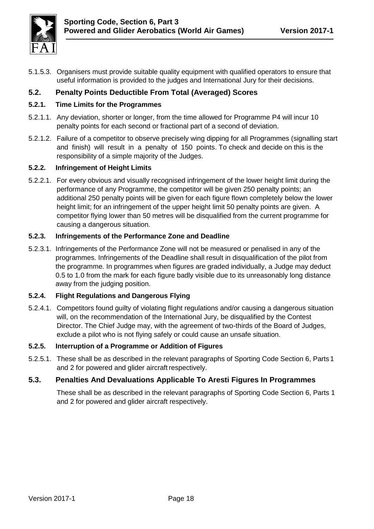

5.1.5.3. Organisers must provide suitable quality equipment with qualified operators to ensure that useful information is provided to the judges and International Jury for their decisions.

## <span id="page-23-0"></span>**5.2. Penalty Points Deductible From Total (Averaged) Scores**

#### <span id="page-23-1"></span>**5.2.1. Time Limits for the Programmes**

- 5.2.1.1. Any deviation, shorter or longer, from the time allowed for Programme P4 will incur 10 penalty points for each second or fractional part of a second of deviation.
- 5.2.1.2. Failure of a competitor to observe precisely wing dipping for all Programmes (signalling start and finish) will result in a penalty of 150 points. To check and decide on this is the responsibility of a simple majority of the Judges.

#### <span id="page-23-2"></span>**5.2.2. Infringement of Height Limits**

<span id="page-23-7"></span>5.2.2.1. For every obvious and visually recognised infringement of the lower height limit during the performance of any Programme, the competitor will be given 250 penalty points; an additional 250 penalty points will be given for each figure flown completely below the lower height limit; for an infringement of the upper height limit 50 penalty points are given. A competitor flying lower than 50 metres will be disqualified from the current programme for causing a dangerous situation.

#### <span id="page-23-3"></span>**5.2.3. Infringements of the Performance Zone and Deadline**

5.2.3.1. Infringements of the Performance Zone will not be measured or penalised in any of the programmes. Infringements of the Deadline shall result in disqualification of the pilot from the programme. In programmes when figures are graded individually, a Judge may deduct 0.5 to 1.0 from the mark for each figure badly visible due to its unreasonably long distance away from the judging position.

#### <span id="page-23-4"></span>**5.2.4. Flight Regulations and Dangerous Flying**

5.2.4.1. Competitors found guilty of violating flight regulations and/or causing a dangerous situation will, on the recommendation of the International Jury, be disqualified by the Contest Director. The Chief Judge may, with the agreement of two-thirds of the Board of Judges, exclude a pilot who is not flying safely or could cause an unsafe situation.

#### <span id="page-23-5"></span>**5.2.5. Interruption of a Programme or Addition of Figures**

5.2.5.1. These shall be as described in the relevant paragraphs of Sporting Code Section 6, Parts 1 and 2 for powered and glider aircraft respectively.

## <span id="page-23-6"></span>**5.3. Penalties And Devaluations Applicable To Aresti Figures In Programmes**

These shall be as described in the relevant paragraphs of Sporting Code Section 6, Parts 1 and 2 for powered and glider aircraft respectively.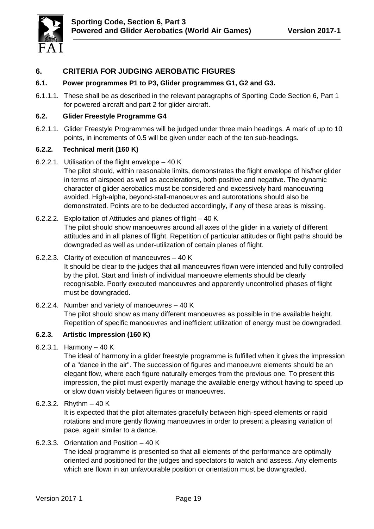

## <span id="page-24-0"></span>**6. CRITERIA FOR JUDGING AEROBATIC FIGURES**

## <span id="page-24-1"></span>**6.1. Power programmes P1 to P3, Glider programmes G1, G2 and G3.**

6.1.1.1. These shall be as described in the relevant paragraphs of Sporting Code Section 6, Part 1 for powered aircraft and part 2 for glider aircraft.

#### <span id="page-24-2"></span>**6.2. Glider Freestyle Programme G4**

6.2.1.1. Glider Freestyle Programmes will be judged under three main headings. A mark of up to 10 points, in increments of 0.5 will be given under each of the ten sub-headings.

#### <span id="page-24-3"></span>**6.2.2. Technical merit (160 K)**

- 6.2.2.1. Utilisation of the flight envelope 40 K The pilot should, within reasonable limits, demonstrates the flight envelope of his/her glider in terms of airspeed as well as accelerations, both positive and negative. The dynamic character of glider aerobatics must be considered and excessively hard manoeuvring avoided. High-alpha, beyond-stall-manoeuvres and autorotations should also be demonstrated. Points are to be deducted accordingly, if any of these areas is missing.
- 6.2.2.2. Exploitation of Attitudes and planes of flight 40 K The pilot should show manoeuvres around all axes of the glider in a variety of different attitudes and in all planes of flight. Repetition of particular attitudes or flight paths should be downgraded as well as under-utilization of certain planes of flight.
- 6.2.2.3. Clarity of execution of manoeuvres 40 K It should be clear to the judges that all manoeuvres flown were intended and fully controlled by the pilot. Start and finish of individual manoeuvre elements should be clearly recognisable. Poorly executed manoeuvres and apparently uncontrolled phases of flight must be downgraded.
- 6.2.2.4. Number and variety of manoeuvres 40 K The pilot should show as many different manoeuvres as possible in the available height. Repetition of specific manoeuvres and inefficient utilization of energy must be downgraded.

## <span id="page-24-4"></span>**6.2.3. Artistic Impression (160 K)**

6.2.3.1. Harmony – 40 K

The ideal of harmony in a glider freestyle programme is fulfilled when it gives the impression of a "dance in the air". The succession of figures and manoeuvre elements should be an elegant flow, where each figure naturally emerges from the previous one. To present this impression, the pilot must expertly manage the available energy without having to speed up or slow down visibly between figures or manoeuvres.

6.2.3.2. Rhythm  $-40 K$ 

It is expected that the pilot alternates gracefully between high-speed elements or rapid rotations and more gently flowing manoeuvres in order to present a pleasing variation of pace, again similar to a dance.

#### 6.2.3.3. Orientation and Position – 40 K

The ideal programme is presented so that all elements of the performance are optimally oriented and positioned for the judges and spectators to watch and assess. Any elements which are flown in an unfavourable position or orientation must be downgraded.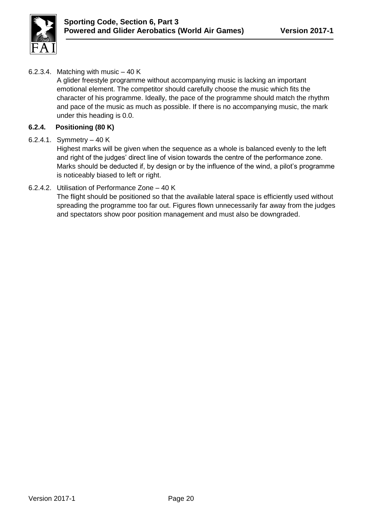

## 6.2.3.4. Matching with music  $-40$  K

A glider freestyle programme without accompanying music is lacking an important emotional element. The competitor should carefully choose the music which fits the character of his programme. Ideally, the pace of the programme should match the rhythm and pace of the music as much as possible. If there is no accompanying music, the mark under this heading is 0.0.

#### <span id="page-25-0"></span>**6.2.4. Positioning (80 K)**

#### 6.2.4.1. Symmetry – 40 K

Highest marks will be given when the sequence as a whole is balanced evenly to the left and right of the judges' direct line of vision towards the centre of the performance zone. Marks should be deducted if, by design or by the influence of the wind, a pilot's programme is noticeably biased to left or right.

6.2.4.2. Utilisation of Performance Zone – 40 K

The flight should be positioned so that the available lateral space is efficiently used without spreading the programme too far out. Figures flown unnecessarily far away from the judges and spectators show poor position management and must also be downgraded.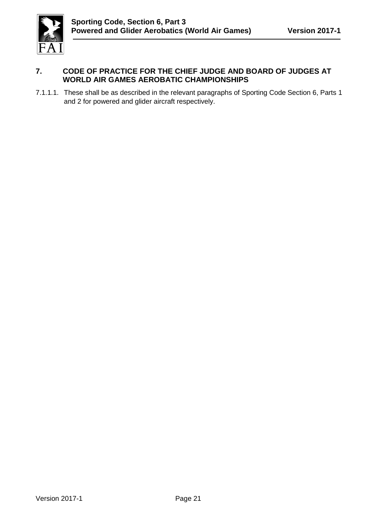

## <span id="page-26-0"></span>**7. CODE OF PRACTICE FOR THE CHIEF JUDGE AND BOARD OF JUDGES AT WORLD AIR GAMES AEROBATIC CHAMPIONSHIPS**

7.1.1.1. These shall be as described in the relevant paragraphs of Sporting Code Section 6, Parts 1 and 2 for powered and glider aircraft respectively.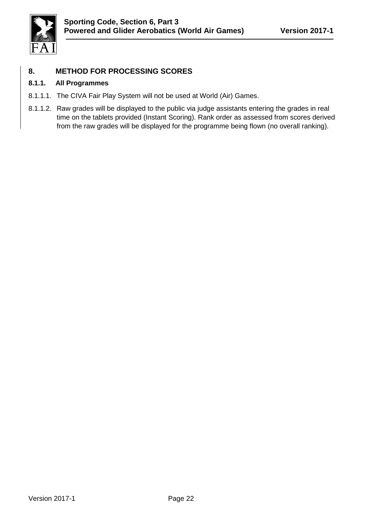

## <span id="page-27-0"></span>**8. METHOD FOR PROCESSING SCORES**

#### <span id="page-27-1"></span>**8.1.1. All Programmes**

- 8.1.1.1. The CIVA Fair Play System will not be used at World (Air) Games.
- 8.1.1.2. Raw grades will be displayed to the public via judge assistants entering the grades in real time on the tablets provided (Instant Scoring). Rank order as assessed from scores derived from the raw grades will be displayed for the programme being flown (no overall ranking).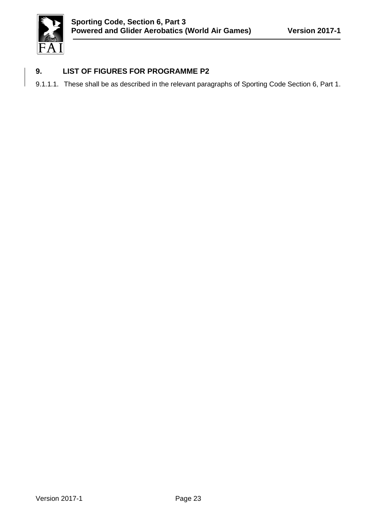

## <span id="page-28-0"></span>**9. LIST OF FIGURES FOR PROGRAMME P2**

9.1.1.1. These shall be as described in the relevant paragraphs of Sporting Code Section 6, Part 1.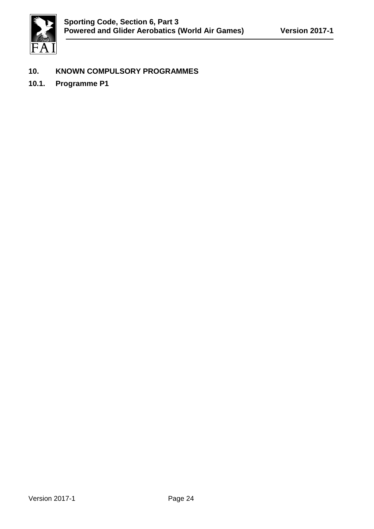

- <span id="page-29-0"></span>**10. KNOWN COMPULSORY PROGRAMMES**
- <span id="page-29-1"></span>**10.1. Programme P1**